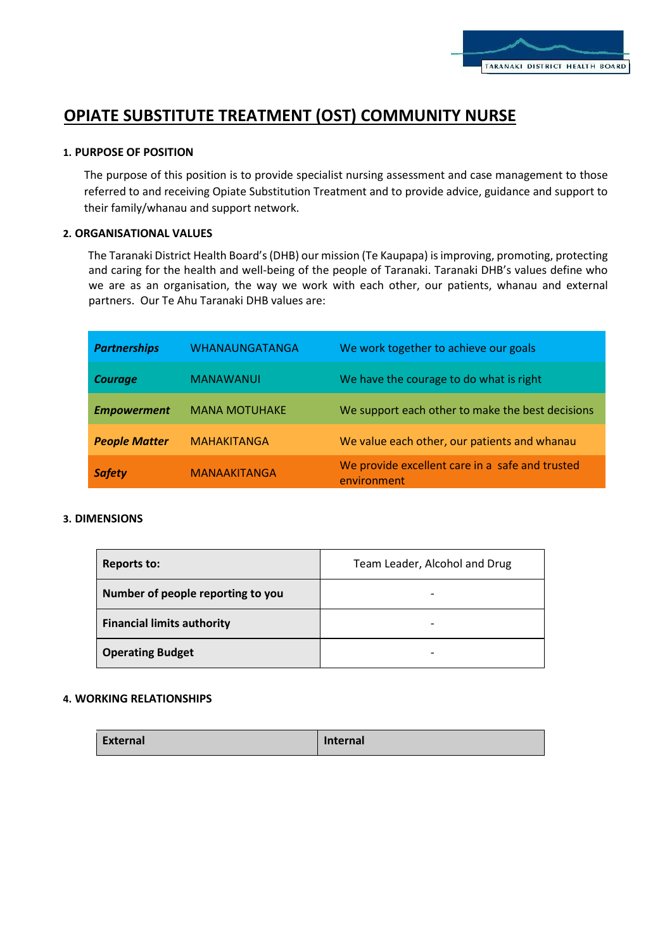

# **OPIATE SUBSTITUTE TREATMENT (OST) COMMUNITY NURSE**

## **1. PURPOSE OF POSITION**

The purpose of this position is to provide specialist nursing assessment and case management to those referred to and receiving Opiate Substitution Treatment and to provide advice, guidance and support to their family/whanau and support network.

## **2. ORGANISATIONAL VALUES**

The Taranaki District Health Board's (DHB) our mission (Te Kaupapa) is improving, promoting, protecting and caring for the health and well-being of the people of Taranaki. Taranaki DHB's values define who we are as an organisation, the way we work with each other, our patients, whanau and external partners. Our Te Ahu Taranaki DHB values are:

| <b>Partnerships</b>  | <b>WHANAUNGATANGA</b> | We work together to achieve our goals                          |
|----------------------|-----------------------|----------------------------------------------------------------|
| <b>Courage</b>       | <b>MANAWANUI</b>      | We have the courage to do what is right                        |
| <b>Empowerment</b>   | <b>MANA MOTUHAKE</b>  | We support each other to make the best decisions               |
| <b>People Matter</b> | <b>MAHAKITANGA</b>    | We value each other, our patients and whanau                   |
| <b>Safety</b>        | <b>MANAAKITANGA</b>   | We provide excellent care in a safe and trusted<br>environment |

#### **3. DIMENSIONS**

| <b>Reports to:</b>                | Team Leader, Alcohol and Drug |
|-----------------------------------|-------------------------------|
| Number of people reporting to you |                               |
| <b>Financial limits authority</b> |                               |
| <b>Operating Budget</b>           |                               |

# **4. WORKING RELATIONSHIPS**

| External | <b>Internal</b> |
|----------|-----------------|
|          |                 |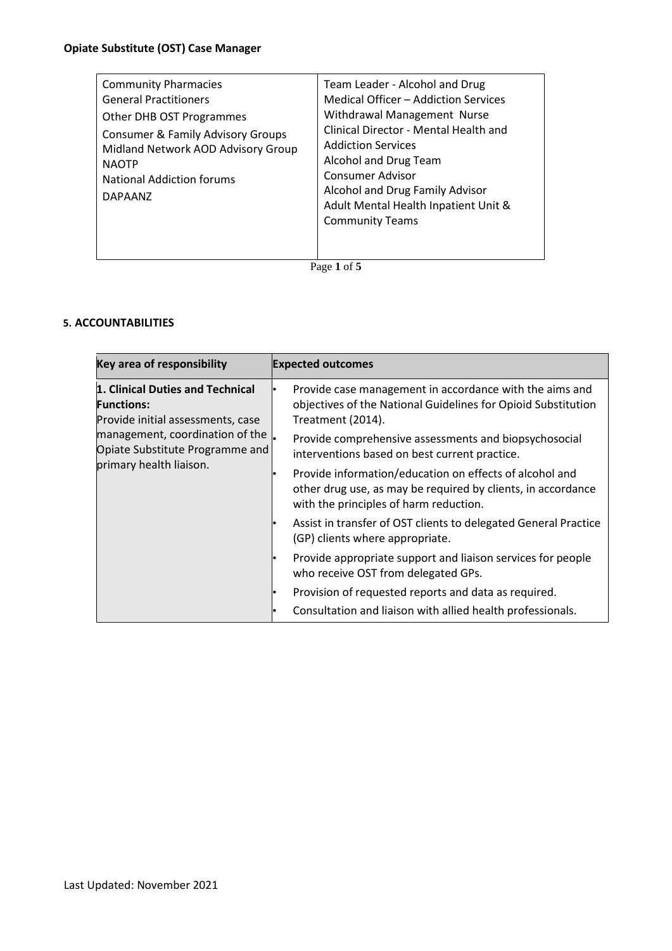Page **1** of **5**

# **5. ACCOUNTABILITIES**

| <b>Key area of responsibility</b>                                                          | <b>Expected outcomes</b>                                                                                                                                          |
|--------------------------------------------------------------------------------------------|-------------------------------------------------------------------------------------------------------------------------------------------------------------------|
| 1. Clinical Duties and Technical<br><b>Functions:</b><br>Provide initial assessments, case | Provide case management in accordance with the aims and<br>objectives of the National Guidelines for Opioid Substitution<br>Treatment (2014).                     |
| management, coordination of the<br>Opiate Substitute Programme and                         | Provide comprehensive assessments and biopsychosocial<br>interventions based on best current practice.                                                            |
| primary health liaison.                                                                    | Provide information/education on effects of alcohol and<br>other drug use, as may be required by clients, in accordance<br>with the principles of harm reduction. |
|                                                                                            | Assist in transfer of OST clients to delegated General Practice<br>(GP) clients where appropriate.                                                                |
|                                                                                            | Provide appropriate support and liaison services for people<br>who receive OST from delegated GPs.                                                                |
|                                                                                            | Provision of requested reports and data as required.                                                                                                              |
|                                                                                            | Consultation and liaison with allied health professionals.                                                                                                        |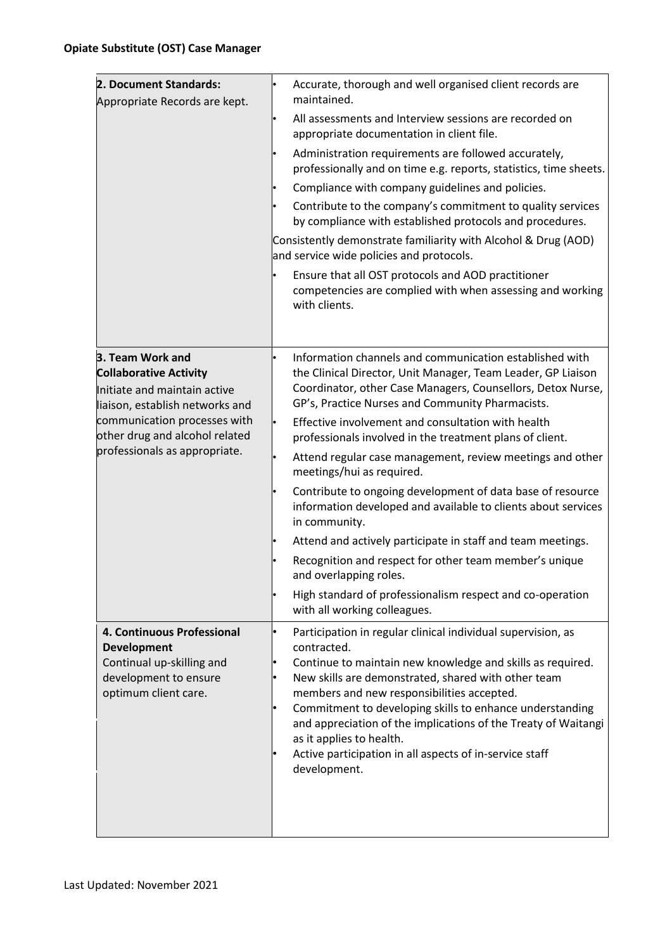| 2. Document Standards:<br>Appropriate Records are kept.                                                                        | Accurate, thorough and well organised client records are<br>maintained.                                                                                                                                                                                                                                                                                                                                                                                                             |
|--------------------------------------------------------------------------------------------------------------------------------|-------------------------------------------------------------------------------------------------------------------------------------------------------------------------------------------------------------------------------------------------------------------------------------------------------------------------------------------------------------------------------------------------------------------------------------------------------------------------------------|
|                                                                                                                                | All assessments and Interview sessions are recorded on<br>appropriate documentation in client file.                                                                                                                                                                                                                                                                                                                                                                                 |
|                                                                                                                                | Administration requirements are followed accurately,<br>professionally and on time e.g. reports, statistics, time sheets.                                                                                                                                                                                                                                                                                                                                                           |
|                                                                                                                                | Compliance with company guidelines and policies.                                                                                                                                                                                                                                                                                                                                                                                                                                    |
|                                                                                                                                | Contribute to the company's commitment to quality services<br>by compliance with established protocols and procedures.                                                                                                                                                                                                                                                                                                                                                              |
|                                                                                                                                | Consistently demonstrate familiarity with Alcohol & Drug (AOD)<br>and service wide policies and protocols.                                                                                                                                                                                                                                                                                                                                                                          |
|                                                                                                                                | Ensure that all OST protocols and AOD practitioner<br>competencies are complied with when assessing and working<br>with clients.                                                                                                                                                                                                                                                                                                                                                    |
|                                                                                                                                |                                                                                                                                                                                                                                                                                                                                                                                                                                                                                     |
| 3. Team Work and<br><b>Collaborative Activity</b><br>Initiate and maintain active<br>liaison, establish networks and           | Information channels and communication established with<br>the Clinical Director, Unit Manager, Team Leader, GP Liaison<br>Coordinator, other Case Managers, Counsellors, Detox Nurse,<br>GP's, Practice Nurses and Community Pharmacists.                                                                                                                                                                                                                                          |
| communication processes with<br>other drug and alcohol related                                                                 | Effective involvement and consultation with health<br>professionals involved in the treatment plans of client.                                                                                                                                                                                                                                                                                                                                                                      |
| professionals as appropriate.                                                                                                  | Attend regular case management, review meetings and other<br>meetings/hui as required.                                                                                                                                                                                                                                                                                                                                                                                              |
|                                                                                                                                | Contribute to ongoing development of data base of resource<br>information developed and available to clients about services<br>in community.                                                                                                                                                                                                                                                                                                                                        |
|                                                                                                                                | Attend and actively participate in staff and team meetings.                                                                                                                                                                                                                                                                                                                                                                                                                         |
|                                                                                                                                | Recognition and respect for other team member's unique<br>and overlapping roles.                                                                                                                                                                                                                                                                                                                                                                                                    |
|                                                                                                                                | High standard of professionalism respect and co-operation<br>with all working colleagues.                                                                                                                                                                                                                                                                                                                                                                                           |
| 4. Continuous Professional<br><b>Development</b><br>Continual up-skilling and<br>development to ensure<br>optimum client care. | Participation in regular clinical individual supervision, as<br>contracted.<br>Continue to maintain new knowledge and skills as required.<br>New skills are demonstrated, shared with other team<br>members and new responsibilities accepted.<br>Commitment to developing skills to enhance understanding<br>and appreciation of the implications of the Treaty of Waitangi<br>as it applies to health.<br>Active participation in all aspects of in-service staff<br>development. |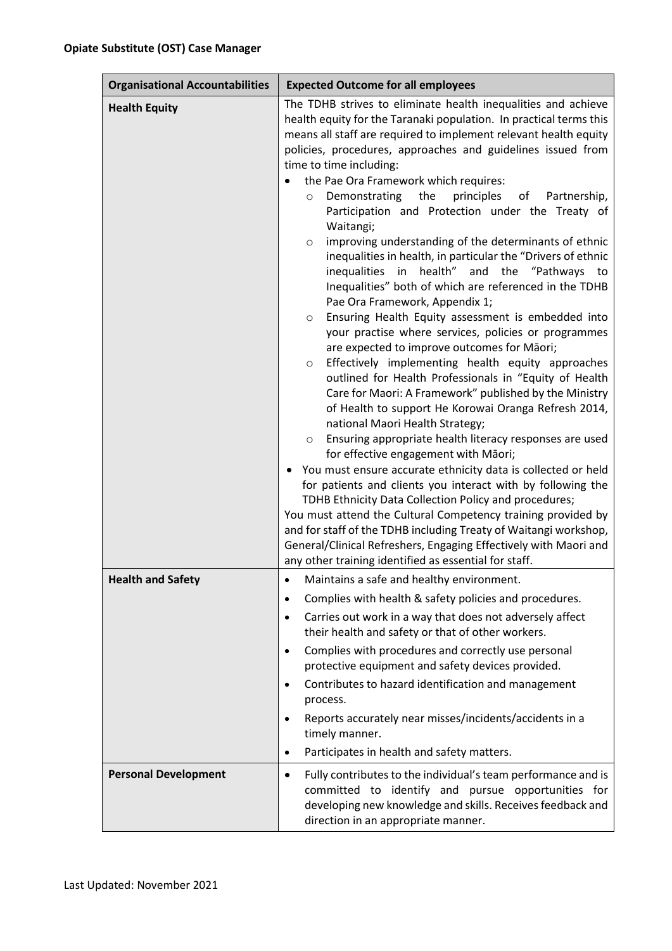| <b>Organisational Accountabilities</b> | <b>Expected Outcome for all employees</b>                                                                                                                                                                                                                                                                                                                                                                                                                                                                                                                                                                                                                                                                                                                                                                                                                                                                                                                                                                                                                                                                                                                                                                                                                                                                                                                                                                                                                                                                                                                                                                                                                                                                                                                                               |  |
|----------------------------------------|-----------------------------------------------------------------------------------------------------------------------------------------------------------------------------------------------------------------------------------------------------------------------------------------------------------------------------------------------------------------------------------------------------------------------------------------------------------------------------------------------------------------------------------------------------------------------------------------------------------------------------------------------------------------------------------------------------------------------------------------------------------------------------------------------------------------------------------------------------------------------------------------------------------------------------------------------------------------------------------------------------------------------------------------------------------------------------------------------------------------------------------------------------------------------------------------------------------------------------------------------------------------------------------------------------------------------------------------------------------------------------------------------------------------------------------------------------------------------------------------------------------------------------------------------------------------------------------------------------------------------------------------------------------------------------------------------------------------------------------------------------------------------------------------|--|
| <b>Health Equity</b>                   | The TDHB strives to eliminate health inequalities and achieve<br>health equity for the Taranaki population. In practical terms this<br>means all staff are required to implement relevant health equity<br>policies, procedures, approaches and guidelines issued from<br>time to time including:<br>the Pae Ora Framework which requires:<br>Demonstrating the<br>principles<br>of<br>Partnership,<br>$\circ$<br>Participation and Protection under the Treaty of<br>Waitangi;<br>improving understanding of the determinants of ethnic<br>$\circ$<br>inequalities in health, in particular the "Drivers of ethnic<br>inequalities in health" and the "Pathways to<br>Inequalities" both of which are referenced in the TDHB<br>Pae Ora Framework, Appendix 1;<br>Ensuring Health Equity assessment is embedded into<br>O<br>your practise where services, policies or programmes<br>are expected to improve outcomes for Māori;<br>Effectively implementing health equity approaches<br>$\circ$<br>outlined for Health Professionals in "Equity of Health<br>Care for Maori: A Framework" published by the Ministry<br>of Health to support He Korowai Oranga Refresh 2014,<br>national Maori Health Strategy;<br>Ensuring appropriate health literacy responses are used<br>$\circ$<br>for effective engagement with Māori;<br>You must ensure accurate ethnicity data is collected or held<br>for patients and clients you interact with by following the<br>TDHB Ethnicity Data Collection Policy and procedures;<br>You must attend the Cultural Competency training provided by<br>and for staff of the TDHB including Treaty of Waitangi workshop,<br>General/Clinical Refreshers, Engaging Effectively with Maori and<br>any other training identified as essential for staff. |  |
| <b>Health and Safety</b>               | Maintains a safe and healthy environment.<br>Complies with health & safety policies and procedures.<br>$\bullet$<br>Carries out work in a way that does not adversely affect<br>$\bullet$<br>their health and safety or that of other workers.<br>Complies with procedures and correctly use personal<br>$\bullet$<br>protective equipment and safety devices provided.<br>Contributes to hazard identification and management<br>$\bullet$<br>process.<br>Reports accurately near misses/incidents/accidents in a<br>timely manner.<br>Participates in health and safety matters.<br>$\bullet$                                                                                                                                                                                                                                                                                                                                                                                                                                                                                                                                                                                                                                                                                                                                                                                                                                                                                                                                                                                                                                                                                                                                                                                         |  |
| <b>Personal Development</b>            | Fully contributes to the individual's team performance and is<br>$\bullet$<br>committed to identify and pursue opportunities for<br>developing new knowledge and skills. Receives feedback and<br>direction in an appropriate manner.                                                                                                                                                                                                                                                                                                                                                                                                                                                                                                                                                                                                                                                                                                                                                                                                                                                                                                                                                                                                                                                                                                                                                                                                                                                                                                                                                                                                                                                                                                                                                   |  |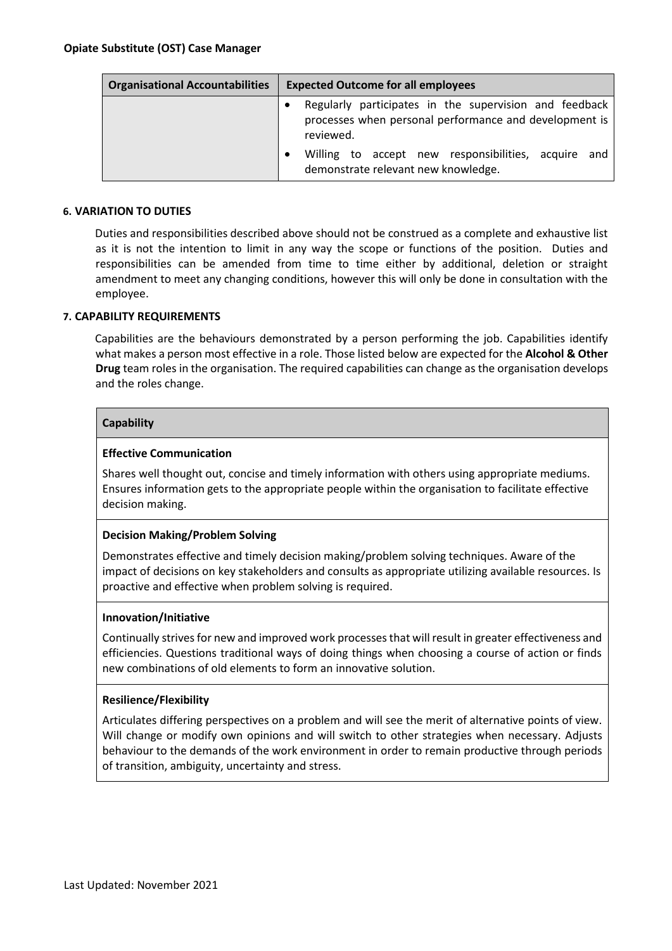| <b>Organisational Accountabilities</b> | <b>Expected Outcome for all employees</b>                                                                                     |
|----------------------------------------|-------------------------------------------------------------------------------------------------------------------------------|
|                                        | Regularly participates in the supervision and feedback<br>processes when personal performance and development is<br>reviewed. |
|                                        | Willing to accept new responsibilities, acquire and<br>demonstrate relevant new knowledge.                                    |

## **6. VARIATION TO DUTIES**

Duties and responsibilities described above should not be construed as a complete and exhaustive list as it is not the intention to limit in any way the scope or functions of the position. Duties and responsibilities can be amended from time to time either by additional, deletion or straight amendment to meet any changing conditions, however this will only be done in consultation with the employee.

#### **7. CAPABILITY REQUIREMENTS**

Capabilities are the behaviours demonstrated by a person performing the job. Capabilities identify what makes a person most effective in a role. Those listed below are expected for the **Alcohol & Other Drug** team roles in the organisation. The required capabilities can change as the organisation develops and the roles change.

## **Capability**

#### **Effective Communication**

Shares well thought out, concise and timely information with others using appropriate mediums. Ensures information gets to the appropriate people within the organisation to facilitate effective decision making.

## **Decision Making/Problem Solving**

Demonstrates effective and timely decision making/problem solving techniques. Aware of the impact of decisions on key stakeholders and consults as appropriate utilizing available resources. Is proactive and effective when problem solving is required.

#### **Innovation/Initiative**

Continually strives for new and improved work processes that will result in greater effectiveness and efficiencies. Questions traditional ways of doing things when choosing a course of action or finds new combinations of old elements to form an innovative solution.

#### **Resilience/Flexibility**

Articulates differing perspectives on a problem and will see the merit of alternative points of view. Will change or modify own opinions and will switch to other strategies when necessary. Adjusts behaviour to the demands of the work environment in order to remain productive through periods of transition, ambiguity, uncertainty and stress.